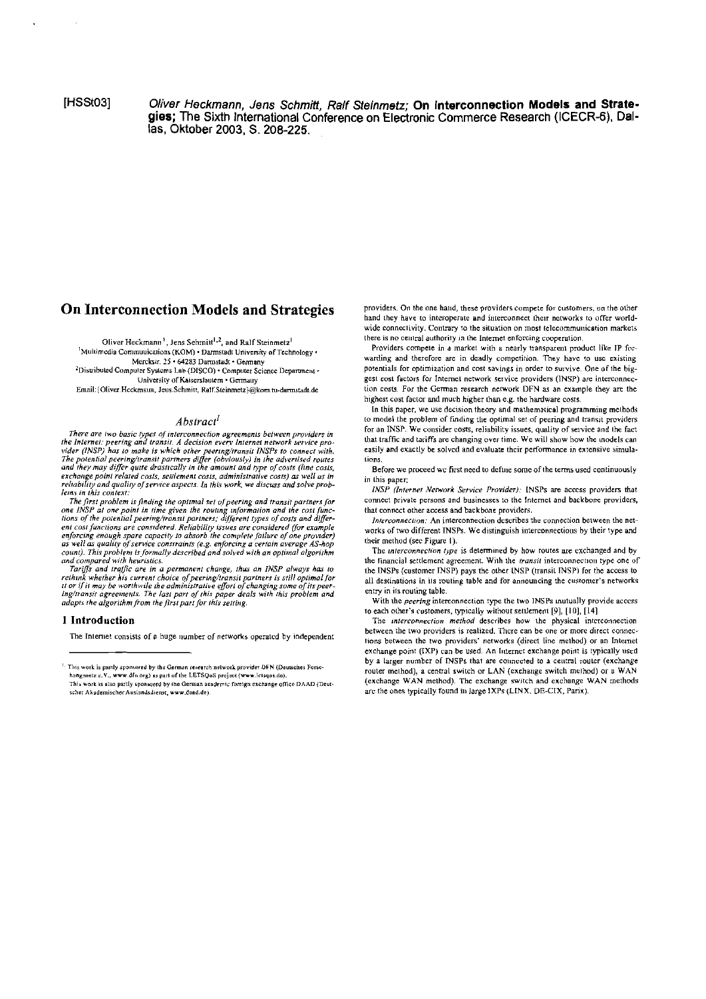**IHSSt031** 

 $\mathcal{A}$ 

Oliver Heckmann, Jens Schmitt, Ralf Steinmetz; On Interconnection Models and Strategies; The Sixth International Conference on Electronic Commerce Research (ICECR-6), Dallas. Oktober 2003, S. 208-225.

# **On Interconnection Models and Strategies**

Oliver Heckmann<sup>1</sup>, Jens Sehmitt<sup>1,2</sup>, and Ralf Steinmetz<sup>1</sup> Multimedia Communications (KOM) · Darmstadt University of Technology · Member 25 + 64283 Darmstudt + Geomany 2Distributed Computer Systems Lab (DISCO) · Computer Science Department · University of Kaiserslautem · Germauy

Email: {Oliver Heckmaun, Jeus Schmitt, Ralf Steinmetz}@kom.tu-darmstadt.de

### Abstract<sup>1</sup>

There are two basic types of interconnection agreements between providers in the Internet: peering and transit. A decision every internet network service pro-<br>vider (INSP) has to make is which other peering/transit INSPs to connect with.<br>The potential peering/transit partners differ (obviously) in exchange point related costs, settlement costs, administrative costs) as well as in reliability and quality of service aspects. In this work, we discuss and solve problems in this context:

The first problem is finding the optimal set of peering and transit partners for<br>The first problem is finding the optimal set of peering and transit partners for<br>one INSP at one point in time given the routing information enforcing enough spare capacity to absorb the complete failure of one provider)<br>as well as quality of service constraints (e.g. enforcing a certain average AS-hop count). This problem is formally described and solved with an optimal algorithm<br>and compared with heuristics.

and computed with metalsities.<br>Tariffs and italific are in a permanent change, thus an INSP always has to<br>reihink whether his current choice of peering/transit partners is still optimal for<br>it or if it may be worthwile the adapts the algorithm from the first part for this setting.

### 1 Introduction

The Internet consists of a huge number of networks operated by independent

providers. On the one hand, these providers compete for customers, on the other hand they have to interoperate and interconnect their networks to offer worldwide connectivity. Contrary to the situation on most telecommunication markets there is no central authority in the Internet enforcing cooperation.

Providers compete in a market with a nearly transparent product like IP forwarding and therefore are in deadly competition. They have to use existing potentials for optimization and cost savings in order to survive. One of the biggest cost factors for Internet network service providers (INSP) are interconnection costs. For the German research network DFN as an example they are the highest cost factor and much higher than e.g. the hardware costs.

In this paper, we use decision theory and mathematical programming methods to model the problem of finding the optimal set of peering and transit providers for an INSP. We consider costs, reliability issues, quality of service and the fact that traffic and tariffs are changing over time. We will show how the models can easily and exactly be solved and evaluate their performance in extensive simulations

Before we proceed we first need to define some of the terms used continuously in this paper:

INSP (Internet Network Service Provider). INSPs are access providers that connect private persons and businesses to the Internet and backbone providers, that connect other access and backbone providers.

Interconnection: An interconnection describes the connection between the networks of two different INSPs. We distinguish interconnections by their type and their method (see Figure 1).

The interconnection type is determined by how routes are exchanged and by the financial settlement agreement. With the transit interconnection type one of the INSPs (customer INSP) pays the other INSP (transit INSP) for the access to all destinations in its routing table and for announcing the customer's networks entry in its routing table.

With the *peering* interconnection type the two INSPs mutually provide access to each other's customers, typically without settlement [9], [10], [14]

The interconnection method describes how the physical interconnection between the two providers is realized. There can be one or more direct connections between the two providers' networks (direct line method) or an Internet exchange point (IXP) can be used. An Internet exchange point is typically used by a larger number of INSPs that are connected to a central router (exchange router method), a central switch or LAN (exchange switch method) or a WAN (exchange WAN method). The exchange switch and exchange WAN methods are the ones typically found in large IXPs (LINX, DE-CIX, Parix).

This work is partly sponsored by the German research network provider DFN (Deutsches Forsehungsnetz e.V., www.dfn.org) as part of the LETSQoS project (www.letsqos.de).<br>This work is also partly sponsored by the German academic foreign exchange office DAAD (Deut-

scher Akademischer Auslandsdienst, www.daad.de)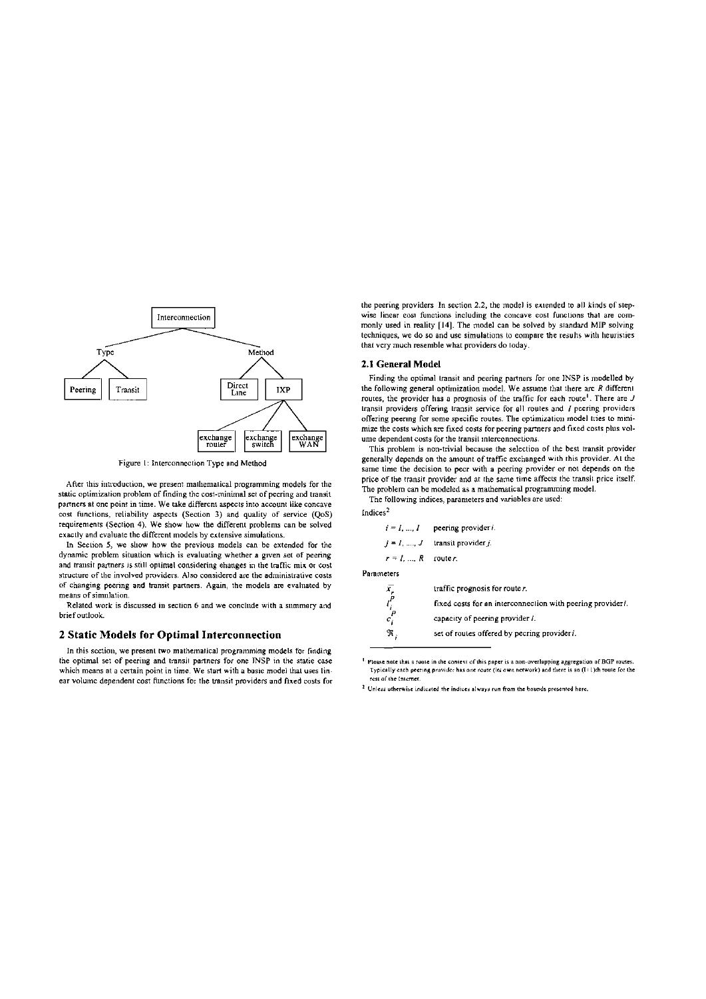

Figure 1: Interconnection Type and Method

After this introduction, we present mathematical programming models for the static optimization problem of finding the cost-minimal set of peering and transit partners at one point in time. We take different aspects into account like concave cost functions, reliability aspects (Section 3) and quality of service (QoS) requirements (Section 4). We show how the different problems can be solved exactly and evaluate the different models by extensive simulations.

In Section 5, we show how the previous models can be extended for the dynamic problem situation which is evaluating whether a given set of peering and transit partners is still optimal considering ehanges in the traffic mix or cost structure of the involved providers. Also considered are the administrative costs of changing peering and transit partners. Again, the models are evaluated by means of simulation.

Related work is discussed in section 6 and we conclude with a summery and brief outlook.

# 2 Static Models for Optimal Interconnection

In this section, we present two mathematical programming models for finding the optimal set of peering and transit partners for one INSP in the statie case which means at a certain point in time. We start with a basic model that uses linear volume dependent cost functions for the transit providers and fixed costs for the peering providers In section 2.2, the model is extended to all kinds of stepwise linear cost functions including the concave cost functions that are commonly used in reality [14]. The model can be solved by standard MIP solving techniques, we do so and use simulations to compare the results with heuristies that very much resemble what providers do today.

### 2.1 General Model

Indices<sup>2</sup>

Finding the optimal transit and peering partners for one INSP is modelled by the following general optimization model. We assume that there are  $R$  different routes, the provider has a prognosis of the traffic for each route<sup>1</sup>. There are  $J$ transit providers offering transit service for all routes and / peering providers offering peering for some specific routes. The optimization model tries to minimize the costs which are fixed costs for peering partners and fixed costs plus volume dependent costs for the transit interconnections.

This problem is non-trivial because the selection of the best transit provider generally depends on the amount of traffic exchanged with this provider. At the same time the decision to pecr with a peering provider or not depends on the price of the transit provider and at the same time affects the transit price itself. The problem can be modeled as a mathematical programming model.

The following indices, parameters and variables are used:

|                      | $i = 1, , I$ peering provider i. |
|----------------------|----------------------------------|
|                      | $i = 1, , J$ transit provider j. |
| $r = 1, , R$ router. |                                  |
| Parameters           |                                  |

| x     | traffic prognosis for route r.                             |
|-------|------------------------------------------------------------|
|       | fixed costs for an interconnection with peering provideri. |
| $c_i$ | capacity of peering provider <i>i</i> .                    |
| Я,    | set of routes offered by pecring provideri.                |

<sup>&</sup>lt;sup>1.</sup> Please note that a route in the context of this paper is a non-overlapping aggregation of BGP routes.<br>Typically each peering provider has one route (its own network) and there is an (I+1)th route for the . . .<br>rest of the Internet

<sup>&</sup>lt;sup>2</sup> Unless otherwise indicated the indices always run from the bounds presented here.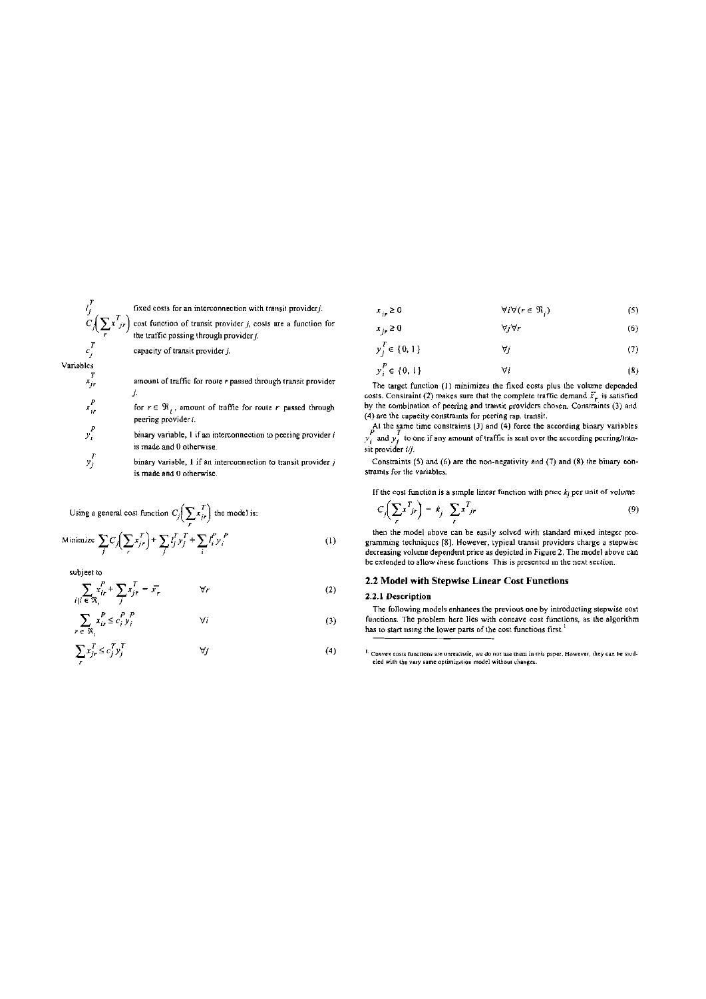Variables  $x_i^T$ 

 $x_i^P$ 

 $y_i^P$ 

fixed costs for an interconnection with transit providerj. cost function of transit provider  $j$ , costs are a function for<br>the traffic passing through provider  $j$ .

capacity of transit provider j.

amount of traffic for route r passed through transit provider J.

for  $r \in \mathfrak{R}_i$ , amount of traffie for route r passed through peering provider i.

binary variable, 1 if an interconnection to peering provider i is made and 0 otherwise.

 $y_j^T$ binary variable,  $1$  if an interconnection to transit provider  $j$ is made and 0 otherwise.

Using a general cost function  $C_j \left( \sum_r x_{jr}^T \right)$  the model is: Minimize  $\sum_{i} C_j \left( \sum_{j} x_{j}^T \right) + \sum_{j} l_j^T y_j^T + \sum_{i} l_i^P y_i^P$ 

subject to

$$
\sum_{i \mid i \in \mathfrak{R}_r} x_{ir}^P + \sum_j x_{jr}^T = \overline{x}_r \qquad \forall r
$$
 (2)

$$
\sum_{r \in \mathfrak{N}_i} x_{ir}^P \le c_i^P y_i^P \qquad \qquad \forall i \tag{3}
$$

$$
\sum_{r} x_{jr}^T \le c_j^T y_j^T \qquad \qquad \forall j \tag{4}
$$

$$
\forall i \forall (r \in \mathfrak{N}_i)
$$
 (5)

$$
x_{j} \ge 0 \qquad \qquad \text{Vyvr} \tag{6}
$$
  

$$
y_{j}^{T} \in \{0, 1\} \qquad \qquad \forall j \tag{7}
$$

 $y_i^P \in \{0,1\}$ A.  $(8)$ 

The target function (1) minimizes the fixed costs plus the volume depended costs. Constraint (2) makes sure that the complete traffic demand  $\bar{x}$ , is satisfied by the combination of peering and transit providers chosen. Constraints (3) and (4) are the capacity constraints for peering rsp. transit.

At the same time constraints (3) and (4) force the according binary variables  $y_i$  and  $y_j$  to one if any amount of traffic is sent over the according peering/transit provider i/j.

Constraints (5) and (6) are the non-negativity and (7) and (8) the binary eonstraints for the variables.

If the cost function is a simple linear function with price  $k_j$  per unit of volume

$$
C_j \left( \sum_r x^T_{jr} \right) = k_j \sum_r x^T_{jr} \tag{9}
$$

then the model above can be easily solved with standard mixed integer programming techniques [8]. However, typical transit providers charge a stepwise decreasing volume dependent price as depicted in Figure 2. The model above can be extended to allow these functions. This is presented in the next section.

# 2.2 Model with Stepwise Linear Cost Functions

# 2.2.1 Description

 $(1)$ 

The following models enhances the previous one by introducting stepwise cost functions. The problem here lies with coneave cost functions, as the algorithm has to start using the lower parts of the cost functions first.<sup>1</sup>

<sup>&</sup>lt;sup>1.</sup> Convex costs functions are unrealistic, we do not use them in this paper. However, they can be modeled with the very same optimization model without changes.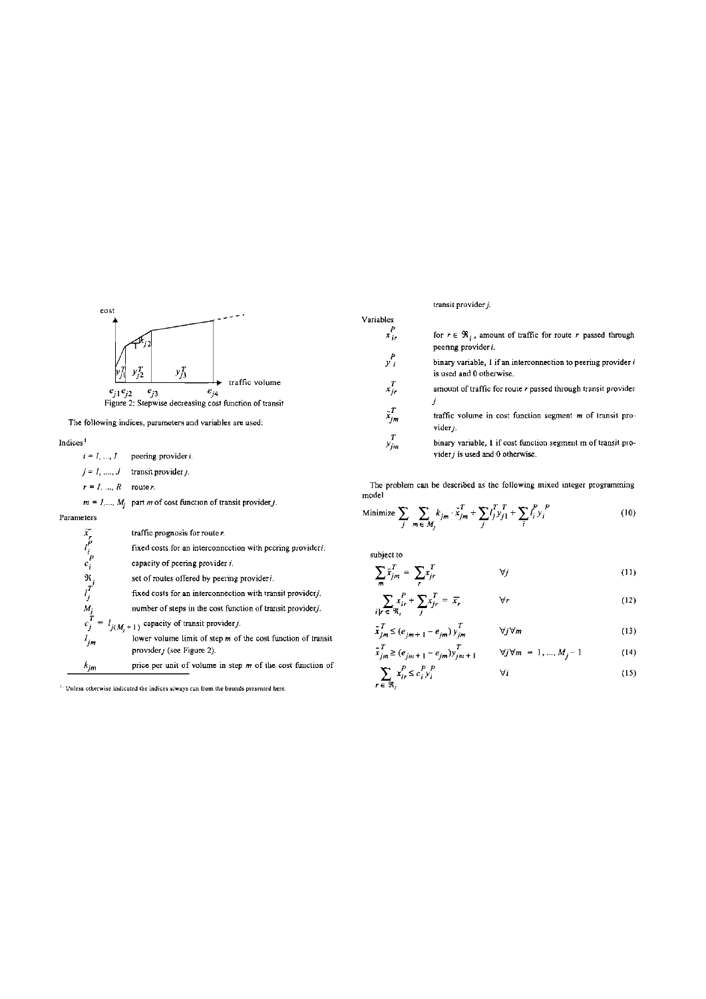

The following indices, parameters and variables are used:

Indices<sup>1</sup>

 $i = l, ..., I$  peering provider i.  $j = 1, ..., J$  transit provider *j*.

 $r = I, ..., R$  router.

 $m = I, ..., M_j$  part *m* of cost function of transit provider *j*.

## Parameters

|                        | traffic prognosis for router.                                                              |
|------------------------|--------------------------------------------------------------------------------------------|
| $\bar{x}$<br>$\bar{r}$ | fixed costs for an interconnection with peering provideri.                                 |
| $c_i^P$                | capacity of pcering provider i.                                                            |
|                        | set of routes offered by peering provideri.                                                |
| $\frac{\Re_i}{l_i^T}$  | fixed costs for an interconnection with transit provider;                                  |
| $M_j$                  | number of steps in the cost function of transit providerj.                                 |
| $c_j^T =$              | $l_{j(M_i+1)}$ capacity of transit provider j.                                             |
| I <sub>jm</sub>        | lower volume limit of step m of the cost function of transit<br>provider / (see Figure 2). |
| k:m                    | price per unit of volume in step $m$ of the cost function of                               |

<sup>1</sup>. Unless otherwise indicated the indices always run from the bounds presented here.

transit provider  $j$ .

- for  $r \in \mathcal{R}_i$ , amount of traffic for route r passed through peering provider i.
- binary variable,  $1$  if an interconnection to peering provider  $i$ is used and 0 otherwise.
- amount of traffic for route r passed through transit provider  $\dot{i}$
- $x_{jm}^T$ traffic volume in cost function segment m of transit pro $viderj.$
- $y_{jm}^T$ binary variable, I if cost function segment m of transit provider  $j$  is used and 0 otherwise.

The problem can be described as the following mixed integer programming model

Minimize 
$$
\sum_{j} \sum_{m \in M_j} k_{jm} \cdot \tilde{x}_{jm}^T + \sum_{j} l_j^T y_{j1}^T + \sum_{i} l_i^P y_i^P
$$
 (10)

subject to

Variables  $x_{ir}^P$ 

 $y_i^P$ 

 $x_i^T$ 

$$
\sum_{m} \bar{x}_{jm}^{T} = \sum_{r} x_{jr}^{T} \qquad \forall j \qquad (11)
$$

$$
\sum_{i|r} \sum_{\epsilon \in \mathfrak{N}_i} \frac{r}{r} + \sum_{j} x_{jr}^T = \overline{x}_r \qquad \forall r
$$
 (12)

$$
\tilde{x}_{jm}^T \le (e_{jm+1} - e_{jm}) y_{jm}^T \qquad \forall j \forall m
$$
\n(13)

$$
\bar{x}_{jm}^T \ge (e_{jm+1} - e_{jm}) y_{jm+1}^T \qquad \forall j \forall m = 1, ..., M_j - 1
$$
 (14)

$$
\sum_{r \in \mathfrak{R}_i} x_{ir}^{\nu} \le c_i^{\nu} y_i^{\nu}
$$
 (15)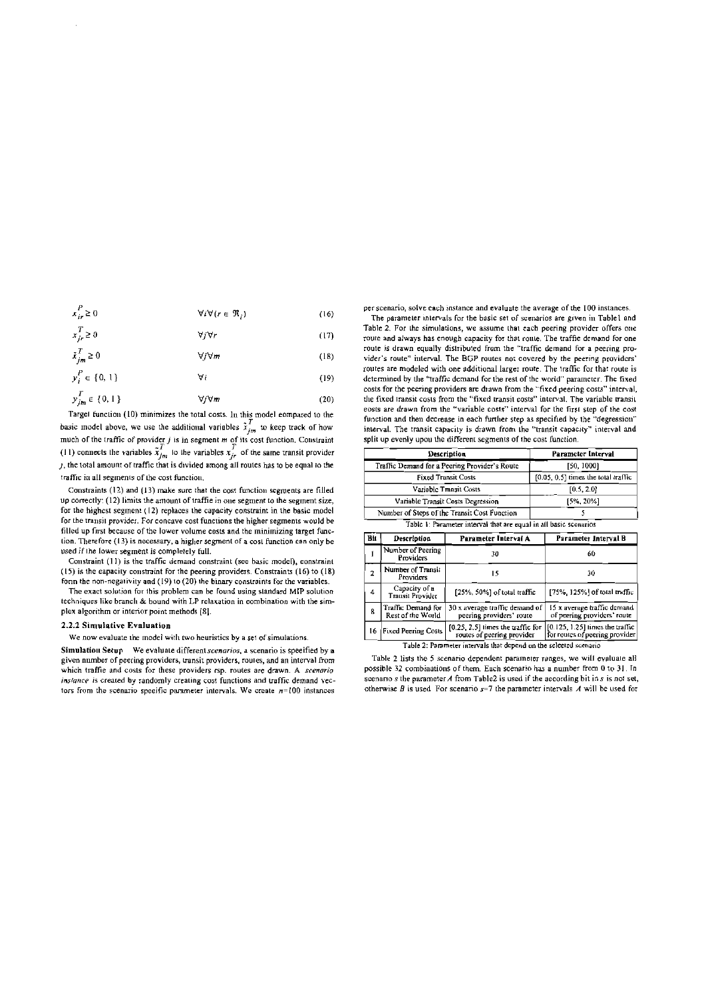$$
x_{ir}^P \ge 0 \qquad \qquad \forall i \forall (r \in \mathfrak{R}_i)
$$
 (16)

$$
x_{jr}^T \ge 0 \qquad \forall j \forall r \tag{17}
$$

$$
\bar{x}_{jm}^T \ge 0 \qquad \qquad \forall j \forall m \qquad (18)
$$

 $y_i^P \in \{0, 1\}$  $\forall i$  $(19)$  $y_{im}^T \in \{0, 1\}$  $\forall j \forall m$  $(20)$ 

Target function (10) minimizes the total costs. In this model eompared to the basic model above, we use the additional variables  $\tilde{x}_{j_m}^T$  to keep track of how much of the traffic of provider *j* is in segment *m* of i ), the total amount of traffic that is divided among all routes has to be equal to the traffic in all segments of the cost function.

Constraints (12) and (13) make sure that the cost function segments are filled up correctly: (12) limits the amount of traffic in one segment to the segment size, for the highest segment (12) replaces the capacity constraint in the basic model for the transit provider. For concave cost functions the higher segments would be filled up first because of the lower volume costs and the minimizing target function. Therefore (13) is necessary, a higher segment of a cost function can only be used if the lower segment is completely full.

Constraint (11) is the traffic demand constraint (see basic model), eonstraint (15) is the eapacity constraint for the peering providers. Constraints (16) to (18) form the non-negativity and (19) to (20) the binary constraints for the variables.

The exact solution for this problem can be found using standard MIP solution techniques like branch & bound with LP relaxation in combination with the simplex algorithm or interior point methods [8].

### 2.2.2 Simulative Evaluation

We now evaluate the model with two heuristics by a set of simulations.

Simulation Setup We evaluate different scenarios, a scenario is specified by a given number of peering providers, transit providers, routes, and an interval from which traffie and costs for these providers rsp. routes are drawn. A scenario instance is created by randomly creating cost functions and traffic demand vectors from the scenario specific parameter intervals. We create  $n=100$  instances per scenario, solve each instance and evaluate the average of the 100 instances.

The parameter intervals for the basic set of scenarios are given in Tablel and Table 2. For the simulations, we assume that each peering provider offers one route and always has enough capacity for that route. The traffic demand for one route is drawn equally distributed from the "traffic demand for a peering provider's route" interval. The BGP routes not covered by the peering providers' routes are modeled with one additional larger route. The traffic for that route is determined by the "traffic demand for the rest of the world" parameter. The fixed costs for the peering providers are drawn from the "fixed peering costs" interval, the fixed transit costs from the "fixed transit costs" interval. The variable transit eosts are drawn from the "variable costs" interval for the first step of the cost function and then decrease in each further step as specified by the "degression" interval. The transit capacity is drawn from the "transit capacity" interval and split up evenly upou the different segments of the cost function.

| Description                                   | Parameter Interval                         |
|-----------------------------------------------|--------------------------------------------|
| Traffic Demand for a Peering Provider's Route | [50, 1000]                                 |
| <b>Fixed Transit Costs</b>                    | $[0.05, 0.5]$ times the total traffic      |
| Variable Transit Costs                        | [0.5, 2.0]                                 |
| Variable Transit Costs Degression             | [5%, 20%]                                  |
| Number of Steps of the Transit Cost Function  |                                            |
|                                               | the committee of the committee of the com- |

Table 1: Parameter interval that are equal in all basic scenarios

| Bit            | Description                             | Parameter Interval A                                               | Parameter Interval B                                                |  |
|----------------|-----------------------------------------|--------------------------------------------------------------------|---------------------------------------------------------------------|--|
|                | Number of Peering<br>Providers          | 30                                                                 | 60                                                                  |  |
| $\overline{2}$ | Number of Transit<br>Providers          | 15                                                                 | 30                                                                  |  |
| 4              | Capacity of a<br>Transit Provider       | [25%, 50%] of total traffic                                        | [75%, 125%] of total traffic                                        |  |
| 8              | Traffic Demand for<br>Rest of the World | 30 x average traffic demand of<br>peering providers' route         | 15 x average traffic demand<br>of peering providers' route          |  |
| 16             | <b>Fixed Peering Costs</b>              | $[0.25, 2.5]$ limes the traffic for<br>routes of peering provider  | $[0.125, 1.25]$ times the traffic<br>for routes of peering provider |  |
|                |                                         | Table 2: Parameter intervals that depend on the selected scenario. |                                                                     |  |

Table 2 lists the 5 scenario dependent parameter ranges, we will evaluate all possible 32 combinations of them. Each scenario has a number from 0 to 31. In

scenario s the parameter  $A$  from Table2 is used if the aecording bit in  $s$  is not set, otherwise  $B$  is used For scenario  $s=7$  the parameter intervals  $A$  will be used for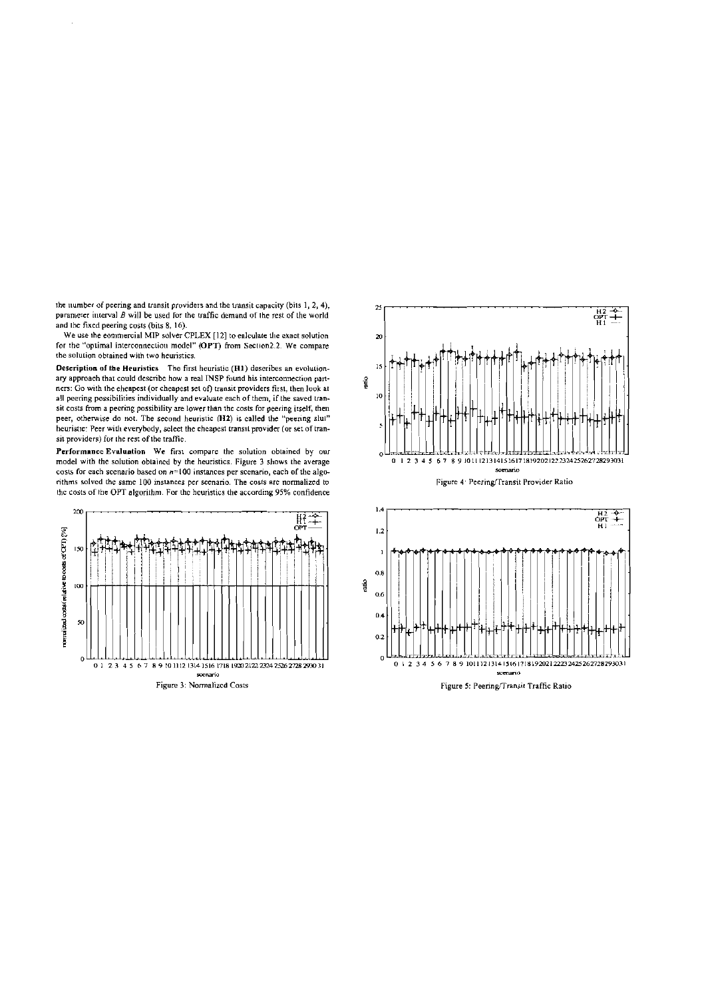the number of peering and transit providers and the transit capacity (bits  $1, 2, 4$ ), parameter interval  $B$  will be used for the traffic demand of the rest of the world and the fixed peering costs (bits 8, 16).

 $\hat{\mathcal{A}}$ 

We use the commercial MIP solver CPLEX [12] to ealculate the exact solution<br>for the "optimal interconnection model" (OPT) from Section 2.2. We compare the solution obtained with two heuristics.

Description of the Heuristics The first heuristic (H1) describes an evolutionary approach that could describe how a real INSP found his interconnection partners: Go with the eheapest (or cheapest set of) transit providers first, then look at all peering possibilities individually and evaluate each of them, if the saved transit costs from a peering possibility are lower than the costs for peering itself, then peer, otherwise do not. The second heuristic (H2) is called the "peering slut" heuristic: Peer with everybody, select the cheapest transit provider (or set of transit providers) for the rest of the traffic.

Performance Evaluation We first compare the solution obtained by our model with the solution obtained by the heuristics. Figure 3 shows the average costs for each scenario based on n=100 instances per scenario, each of the algorithms solved the same 100 instances per scenario. The costs are normalized to the costs of the OPT algorithm. For the heuristics the according 95% confidence





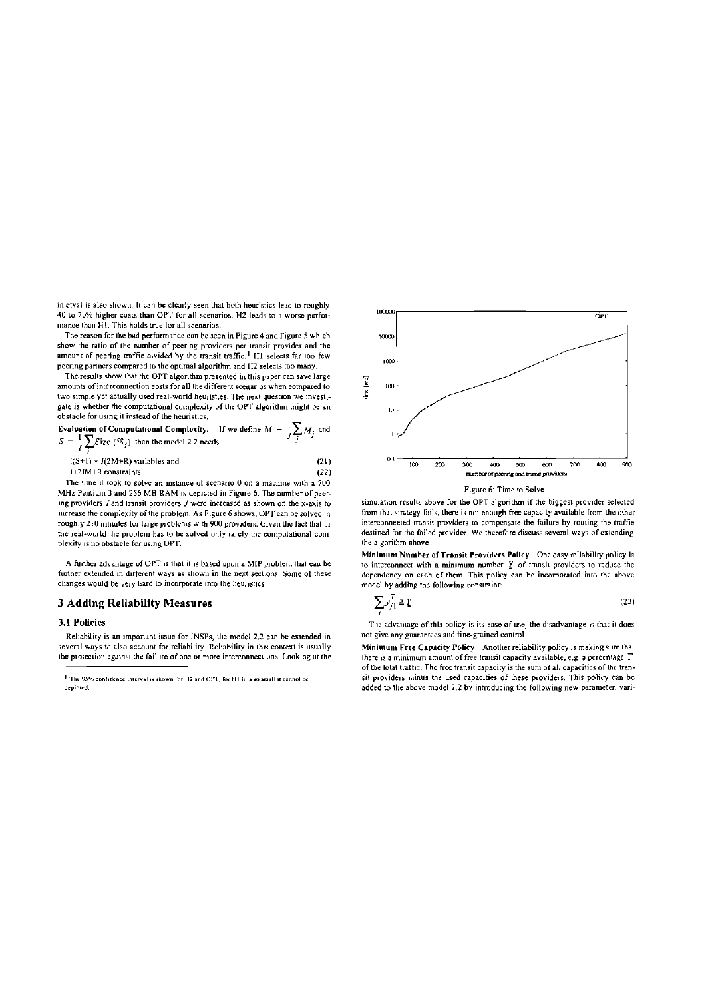interval is also shown. It can be clearly seen that both heuristics lead to roughly 40 to 70% higher costs than OPT for all scenarios. H2 leads to a worse performance than H1. This holds true for all scenarios.

The reason for the bad performance can be seen in Figure 4 and Figure 5 which show the ratio of the number of peering providers per transit provider and the amount of peering traffie divided by the transit traffic.<sup>1</sup> H1 selects far too few peering partners compared to the optimal algorithm and H2 selects too many.

The results show that the OPT algorithm presented in this paper can save large amounts of interconnection costs for all the different scenarios when compared to two simple yet actually used real-world heuristies. The next question we investigate is whether the computational complexity of the OPT algorithm might be an obstacle for using it instead of the heuristics.

obstacle for using it instead of the neurostics.<br>Evaluation of Computational Complexity. If we define  $M = \frac{1}{J} \sum_{i} M_{i}$  and  $S = \frac{1}{I} \sum Size(\mathfrak{R}_i)$  then the model 2.2 needs

 $I(S+1) + J(2M+R)$  variables and  $(21)$ 1+2IM+R constraints.  $(22)$ 

The time it took to solve an instance of scenario 0 on a machine with a 700 MHz Pentium 3 and 256 MB RAM is depicted in Figure 6. The number of peering providers  $I$  and transit providers  $J$  were increased as shown on the x-axis to increase the complexity of the problem. As Figure 6 shows, OPT can be solved in roughly 210 minutes for large problems with 900 providers. Given the fact that in the real-world the problem has to be solved only rarely the eomputational complexity is no obstacle for using OPT.

A further advantage of OPT is that it is based upon a MIP problem that ean be further extended in different ways as shown in the next sections. Some of these changes would be very hard to incorporate into the heuristics.

# **3 Adding Reliability Measures**

### 3.1 Policies

Reliability is an important issue for INSPs, the model 2.2 ean be extended in several ways to also account for reliability. Reliability in this context is usually the protection against the failure of one or more interconnections. Looking at the



simulation results above for the OPT algorithm if the biggest provider selected from that strategy fails, there is not enough free capacity available from the other interconnected transit providers to compensate the failure by routing the traffie destined for the failed provider. We therefore discuss several ways of extending the algorithm above

Minimum Number of Transit Providers Policy One easy reliability policy is to interconnect with a minimum number  $Y$  of transit providers to reduce the dependency on each of them This policy can be incorporated into the above model by adding the following constraint:

$$
\sum_{i} y_{j1}^T \ge \underline{Y} \tag{23}
$$

The advantage of this policy is its ease of use, the disadvantage is that it does not give any guarantees and fine-grained control.

Minimum Free Capacity Policy Another reliability policy is making sure that there is a minimum amount of free transit capacity available, e.g. a percentage  $\Gamma$ of the total traffic. The free transit eapacity is the sum of all capacities of the transit providers minus the used capacities of these providers. This policy ean be added to the above model 2.2 by introducing the following new parameter, vari-

<sup>&</sup>lt;sup>1</sup> The 95% confidence interval is shown for H2 and OPT, for H1 it is so small it cannot be depicted.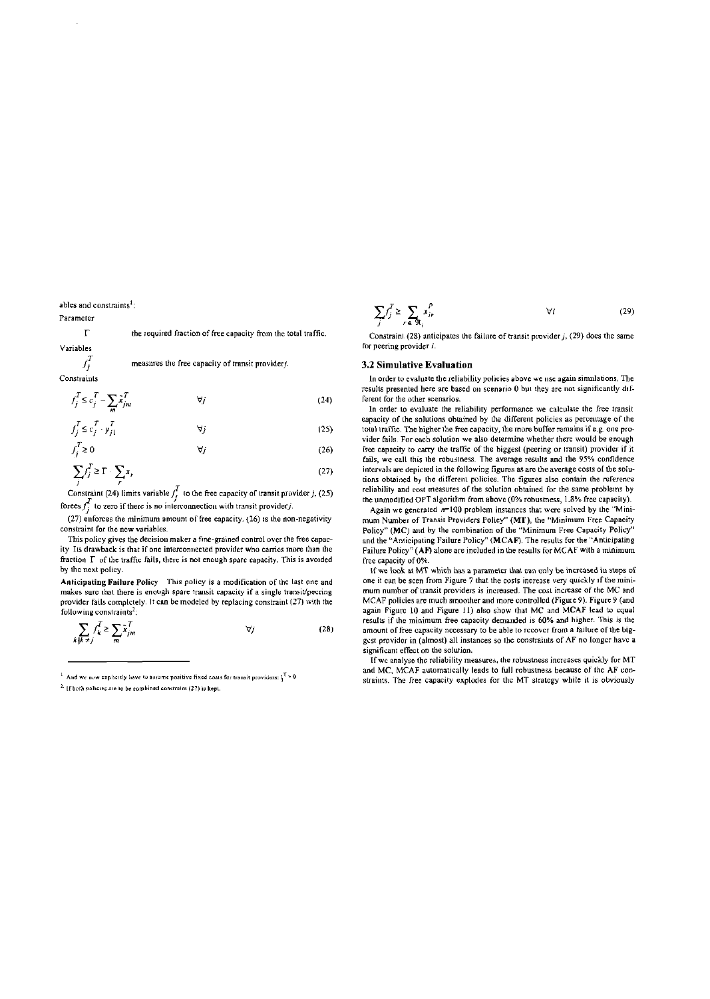ables and constraints<sup>1</sup>:

#### Parameter

 $\Gamma$ the required fraction of free capacity from the total traffic. Variables

$$
f_i^j
$$

k

measures the free capacity of transit provider/. Constraints

$$
f_j^T \le c_j^T - \sum_m \tilde{x}_{jm}^T \qquad \qquad \forall j \tag{24}
$$

$$
f_j^T \le c_j^T \cdot y_{j1}^T \qquad \forall j
$$
\n
$$
f_j^T \ge 0 \qquad \forall j
$$
\n(25)

$$
\sum_{j} f_j^T \ge \Gamma \cdot \sum_{r} x_r \tag{27}
$$

Constraint (24) limits variable  $\int_{I}^{T}$  to the free capacity of transit provider j, (25) forces  $f_i^T$  to zero if there is no interconnection with transit provider j.

(27) enforces the minimum amount of free capacity. (26) is the non-negativity constraint for the new variables.

This policy gives the decision maker a fine-grained control over the free capacity Its drawback is that if one interconnected provider who carries more than the fraction  $\Gamma$  of the traffic fails, there is not enough spare capacity. This is avoided by the next policy.

Anticipating Failure Policy This policy is a modification of the last one and makes sure that there is enough spare transit capacity if a single transit/pecring provider fails completely. It can be modeled by replacing constraint (27) with the following constraints<sup>2</sup>:

$$
\sum_{j \neq i} f_{k}^{T} \ge \sum_{m} \tilde{x}_{jm}^{T} \qquad \qquad \forall j \tag{28}
$$

<sup>1</sup> And we now explicitly have to assume positive fixed cosis for transit providers:  $y^T > 0$ 

<sup>2</sup>. If both policies are to be combined constraint (27) is kept.

$$
\sum_{j} \int_{i}^{T} \ge \sum_{r \in \mathfrak{R}_{i}} x_{ir}^{P} \qquad \forall i \tag{29}
$$

Constraint (28) anticipates the failure of transit provider  $j$ , (29) does the same for peering provider i.

# 3.2 Simulative Evaluation

In order to evaluate the reliability policies above we use again simulations. The results presented here are based on scenario 0 but they are not significantly different for the other scenarios.

In order to evaluate the reliability performance we calculate the free transit eapacity of the solutions obtained by the different policies as percentage of the total traffic. The higher the free capacity, the more buffer remains if e.g. one provider fails. For each solution we also determine whether there would be enough free capacity to carry the traffic of the biggest (peering or transit) provider if it fails, we call this the robustness. The average results and the 95% confidence intervals are depicted in the following figures as are the average costs of the solutions obtained by the different policies. The figures also contain the reference reliability and cost measures of the solution obtained for the same problems by the unmodified OPT algorithm from above (0% robustness, 1.8% free capacity).

Again we generated  $n=100$  problem instances that were solved by the "Minimum Number of Transit Providers Policy" (MT), the "Minimum Free Capaeity Policy" (MC) and by the combination of the "Minimum Free Capacity Policy" and the "Anticipating Failure Policy" (MCAF). The results for the "Anticipating Failure Policy" (AF) alone are included in the results for MCAF with a minimum free capacity of 0%.

If we look at MT which has a parameter that can only be increased in steps of one it can be scen from Figure 7 that the costs increase very quickly if the minimum number of transit providers is increased. The cost increase of the MC and MCAF policies are much smoother and more controlled (Figure 9). Figure 9 (and again Figure 10 and Figure 11) also show that MC and MCAF lead to equal results if the minimum free capacity demanded is 60% and higher. This is the amount of free capacity necessary to be able to recover from a failure of the biggest provider in (almost) all instances so the constraints of AF no longer have a significant effect on the solution.

If we analyse the reliability measures, the robustness increases quickly for MT and MC, MCAF automatically leads to full robustness because of the AF constraints. The free capacity explodes for the MT strategy while it is obviously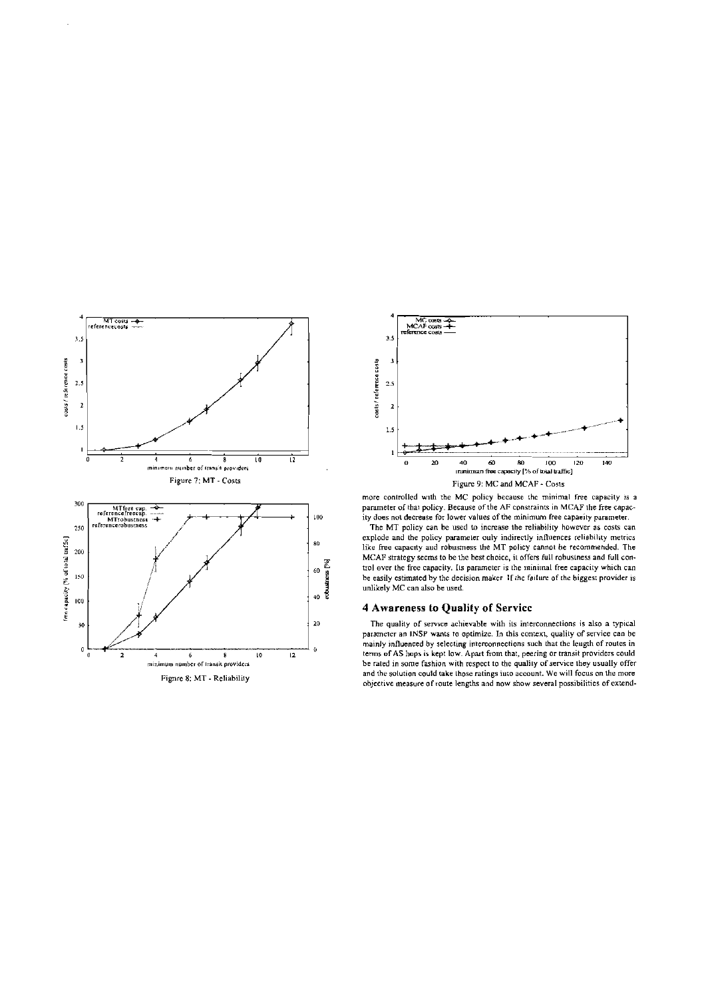



more controlled with the MC policy because the minimal free capacity is a parameter of that policy. Because of the AF constraints in MCAF the free capacity does not decrease for lower values of the minimum free capaeity parameter.

The MT policy can be used to increase the reliability however as costs can explode and the policy parameter ouly indirectly influences reliability metrics like free capacity and robustness the MT policy cannot be recommended. The MCAF strategy secms to be the best choice, it offers full robustness and full control over the free capacity. Its parameter is the minimal free capacity which can be easily estimated by the decision maker. If the failure of the higgest provider is unlikely MC can also be used.

# 4 Awareness to Quality of Service

The quality of service achievable with its interconnections is also a typical parameter an INSP wants to optimize. In this context, quality of service can be mainly influenced by selecting interconnections such that the leugth of routes in terms of AS hops is kept low. Apart from that, peering or transit providers could be rated in some fashion with respect to the quality of service they usually offer and the solution could take those ratings into account. We will focus on the more objective measure of route lengths and now show several possibilities of extend-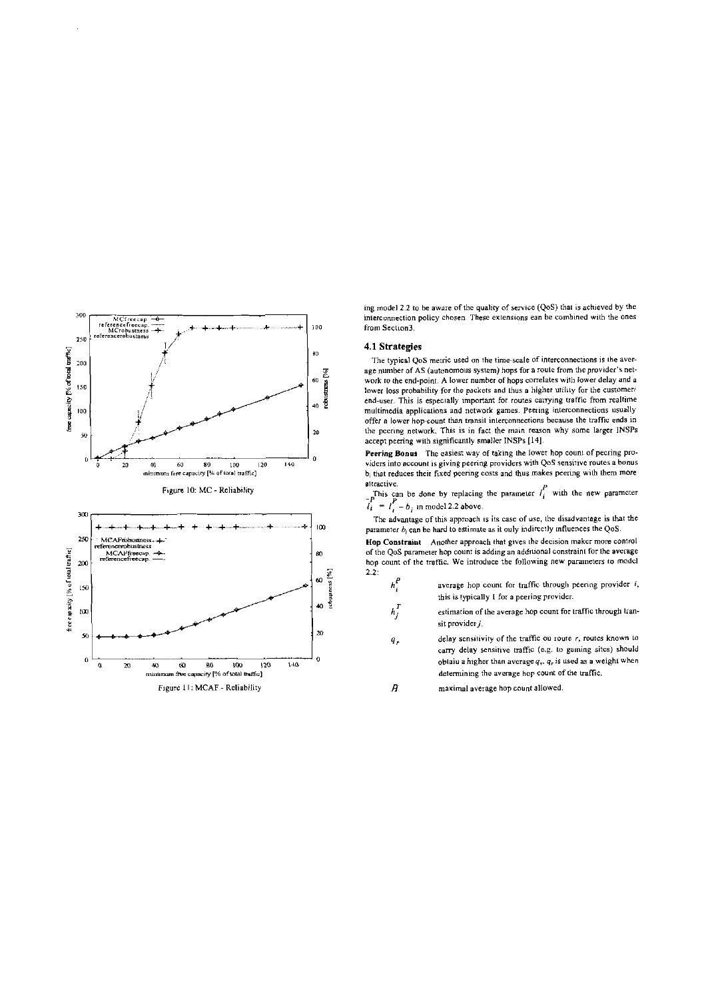

ing model 2.2 to be aware of the quality of service (QoS) that is achieved by the interconnection policy chosen. These extensions ean be combined with the ones from Section3.

### 4.1 Strategies

The typical QoS metric used on the time-scale of interconnections is the average number of AS (autonomous system) hops for a route from the provider's network to the end-point. A lower number of hops correlates with lower delay and a lower loss probability for the packets and thus a higher utility for the customer/ end-user. This is especially important for routes carrying traffic from realtime multimedia applications and network games. Peering interconnections usually offer a lower hop-count than transit interconnections because the traffic ends in the peering network. This is in fact the main reason why some larger INSPs accept peering with significantly smaller INSPs [14].

Peering Bonus The easiest way of taking the lower hop count of pecring providers into account is giving peering providers with QoS sensitive routes a bonus b<sub>i</sub> that reduces their fixed peering costs and thus makes peering with them more attractive.

This can be done by replacing the parameter  $l_i^p$  with the new parameter  $l_i^p = l_i^p - b_i$  in model 2.2 above.

The advantage of this approach is its case of use, the disadvantage is that the parameter  $b_i$  can be hard to estimate as it ouly indirectly influences the QoS.

Hop Constraint Another approach that gives the decision maker more control of the QoS parameter hop count is adding an additional constraint for the average hop count of the traffic. We introduce the following new parameters to model  $2.2:$ 

- $h_i^P$ average hop count for traffic through peering provider  $i$ , this is typically 1 for a peering provider.
- $h_i^T$ estimation of the average hop count for traffic through transit provider  $j$ .
- delay sensitivity of the traffic ou route r, routes known to  $q<sub>r</sub>$ carry delay sensitive traffic (e.g. to gaining sites) should oblaiu a higher than average  $q_r$ ,  $q_r$  is used as a weight when determining the average hop count of the traffic.

Ĥ maximal average hop count allowed.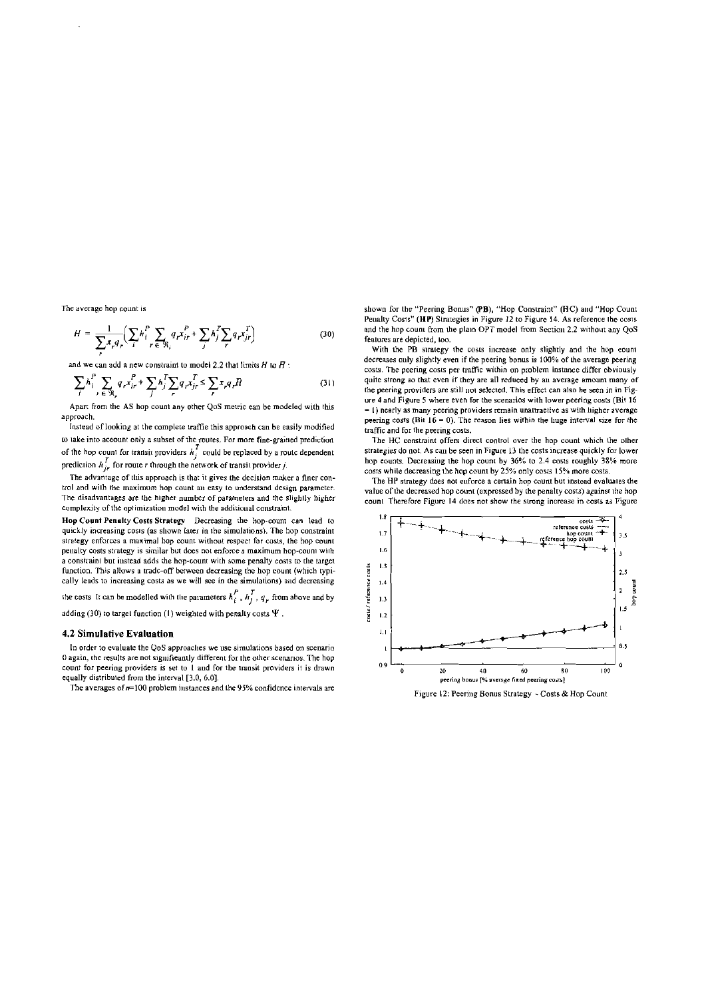The average hop count is

$$
H = \frac{1}{\sum_{i} x_{i} q_{r}} \left( \sum_{i} h_{i}^{P} \sum_{r \in \mathfrak{R}_{i}} q_{r} x_{ir}^{P} + \sum_{j} h_{j}^{T} \sum_{r} q_{r} x_{jr}^{T} \right)
$$
(30)

and we can add a new constraint to model 2.2 that limits  $H$  to  $\vec{H}$ :

$$
\sum_{i} h_i^P \sum_{r \in \mathfrak{R}_r} q_r x_{ir}^P + \sum_{j} h_j^T \sum_{r} q_r x_{jr}^T \le \sum_{r} x_r q_r H \tag{31}
$$

Apart from the AS hop count any other QoS metric ean be modeled with this approach.

Instead of looking at the complete traffic this approach can be easily modified to take into aceount only a subset of the routes. For more fine-grained prediction of the hop count for transit providers  $h_f^T$  could be replaced by a route dependent prediction  $h_{ir}^T$  for route r through the network of transil provider j.

The advantage of this approach is that it gives the decision maker a finer control and with the maximum hop count an easy to understand design parameter. The disadvantages are the higher number of parameters and the slightly higher complexity of the optimization model with the additional constraint.

Hop Count Penalty Costs Strategy Decreasing the hop-count can lead to quickly increasing costs (as shown later in the simulations). The hop constraint strategy enforces a maximal hop count without respect for costs, the hop count penalty costs strategy is similar but does not enforce a maximum hop-count with a constraint but instead adds the hon-count with some penalty costs to the larget function. This allows a trade-off between decreasing the hop count (which typically leads to increasing costs as we will see in the simulations) and decreasing

the costs It can be modelled with the parameters  $h_i^P$ ,  $h_j^T$ ,  $q_r$  from above and by

adding (30) to target function (1) weighted with penalty costs  $\Psi$ .

# 4.2 Simulative Evaluation

In order to evaluate the QoS approaches we use simulations based on scenario 0 again, the results are not significantly different for the other scenarios. The hop count for peering providers is set to 1 and for the transit providers it is drawn equally distributed from the interval [3,0, 6.0].

The averages of  $n=100$  problem instances and the 95% confidence intervals are

shown for the "Peering Bonus" (PB), "Hop Constraint" (HC) and "Hop Count Penalty Costs" (HP) Strategies in Figure 12 to Figure 14. As reference the costs and the hop count from the plain OPT model from Section 2.2 without any QoS features are depicted, too.

With the PB strategy the costs increase only slightly and the hop count decreases only slightly even if the peering bonus is 100% of the average peering costs. The peering costs per traffic within on problem instance differ obviously quite strong so that even if they are all reduced by an average amount many of the peering providers are still not selected. This effect can also be seen in in Figure 4 and Figure 5 where even for the scenarios with lower peering costs (Bit 16 = 1) nearly as many peering providers remain unattractive as with higher average peering costs (Bit  $16 = 0$ ). The reason lies within the liuge interval size for the traffic and for the peering costs.

The HC constraint offers direct control over the hop count which the other strategies do not. As can be seen in Figure 13 the costs increase quickly for lower hop counts. Decreasing the hop count by 36% to 2.4 costs roughly 38% more costs while decreasing the hop count by 25% only costs 15% more costs.

The HP strategy does not enforce a certain hop count but instead evaluates the value of the decreased hop count (expressed by the penalty costs) against the hop count Therefore Figure 14 does not show the strong increase in costs as Figure



Figure 12: Peering Bonus Strategy - Costs & Hop Count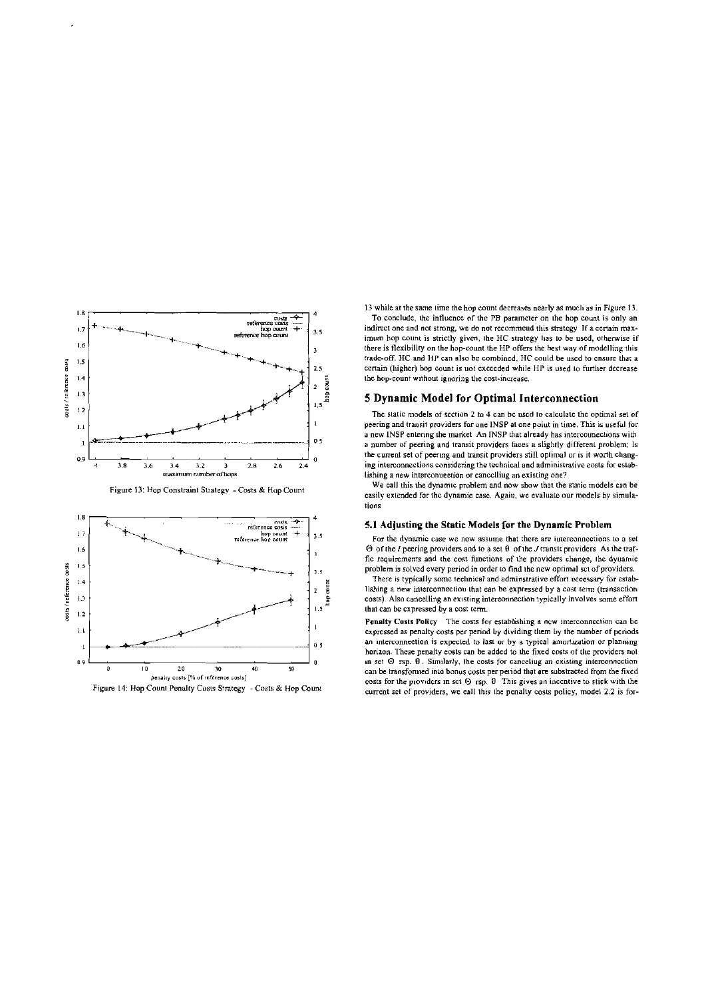



13 while at the same time the hop count decreases nearly as much as in Figure 13. To conclude, the influence of the PB parameter on the hop count is only an indirect one and not strong, we do not recommend this strategy If a certain maximum hop count is strictly given, the HC strategy has to be used, otherwise if there is flexibility on the hop-count the HP offers the best way of modelling this trade-off. HC and HP can also be combined. HC could be used to ensure that a certain (higher) hop count is not exceeded while HP is used to further decrease the hop-count without ignoring the cost-increase.

# 5 Dynamic Model for Optimal Interconnection

The static models of section 2 to 4 can be used to calculate the optimal set of peering and transit providers for one INSP at one point in time. This is useful for a new INSP entering the market An INSP that already has intercouncetions with a number of peering and transit providers faces a slightly different problem; Is the current set of peering and transit providers still optimal or is it worth changing interconnections considering the technical and administrative eosts for establishing a new interconuection or cancelliug an existing one?

We call this the dynamic problem and now show that the static models can be casily extended for the dynamie case. Again, we evaluate our models by simulations

# 5.1 Adjusting the Static Models for the Dynamic Problem

For the dynamic case we now assume that there are intereonnections to a set  $\Theta$  of the *I* peering providers and to a set  $\theta$  of the *J* transit providers As the traffic requirements and the cost functions of the providers change, the dyuamic problem is solved every period in order to find the new optimal set of providers.

There is typically some technical and adminstrative effort uccessary for establishing a new interconnectiou that ean be expressed by a cost term (transaction costs). Also cancelling an existing intereonnection typically involves some effort that can be expressed by a cost term.

Penalty Costs Policy The costs for establishing a new interconnection can be expressed as penalty costs per period by dividing them by the number of periods an interconnection is expected to last or by a typical amortization or planning horizon. These penalty costs can be added to the fixed costs of the providers not in set  $\Theta$  rsp.  $\hat{\theta}$ . Similarly, the costs for canceling an existing interconnection can be transformed into bonus costs per period that are substracted from the fixed costs for the providers in set  $\Theta$  rsp.  $\theta$  This gives an incentive to stick with the current set of providers, we eall this the penalty costs policy, model 2.2 is for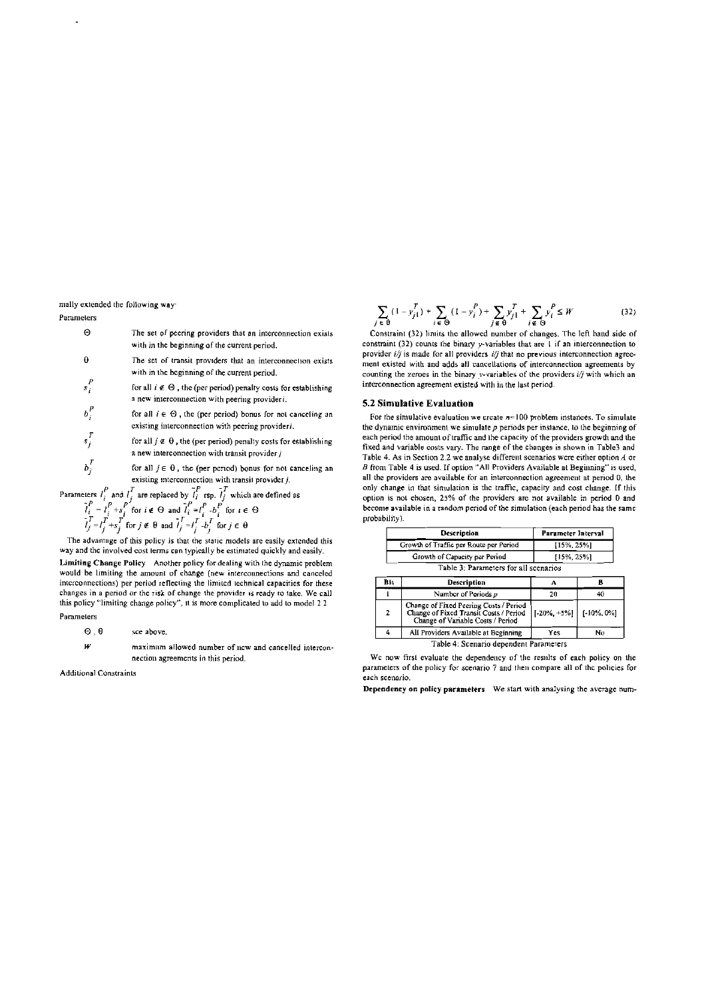mally extended the following way

## Parameters

| Θ       | The set of peering providers that an interconnection exists<br>with in the beginning of the current period,                  |
|---------|------------------------------------------------------------------------------------------------------------------------------|
| θ       | The set of transit providers that an interconnection exists<br>with in the beginning of the current period.                  |
| $s_i^P$ | for all $i \notin \Theta$ , the (per period) penalty costs for establishing<br>a new interconnection with peering providers. |

- $b_i^p$ for all  $i \in \Theta$ , the (per period) bonus for not canceling an existing interconnection with peering provideri.  $s_i^T$
- for all  $j \notin \Theta$ , the (per period) penalty costs for establishing a new interconnection with transit provider  $j$  $b_i^T$ 
	- for all  $j \in \theta$ , the (per period) bonus for not canceling an existing interconnection with transil provider  $j$ .
- Parameters  $l_i^P$  and  $l_i^T$  are replaced by  $l_i^P$  rsp.  $l_i^T$  which are defined as

$$
\tilde{l}_i^P = l_i^P + s_i^P \text{ for } i \in \Theta \text{ and } \tilde{l}_i^P = l_i^P - b_i^P \text{ for } i \in \Theta
$$
  

$$
\tilde{l}_j^T = l_j^T + s_j^T \text{ for } j \in \Theta \text{ and } \tilde{l}_j^T = l_j^T - b_j^T \text{ for } j \in \Theta
$$

The advantage of this policy is that the static models are easily extended this way and the involved cost terms can typically be estimated quickly and easily.

Limiting Change Policy Another policy for dealing with the dynamic problem would be limiting the amount of change (new interconnections and canceled interconnections) per period reflecting the limited technical capacities for these changes in a period or the risk of change the provider is ready to take. We call this policy "limiting change policy", it is more complicated to add to model 2 2

Parameters

- $\Theta$   $\theta$ sce above
- $W$ maximum allowed number of new and cancelled interconnection agreements in this period.

Additional Constraints

$$
\sum_{j \in \Theta} (1 - y_{j1}^T) + \sum_{i \in \Theta} (1 - y_i^P) + \sum_{j \in \Theta} y_{j1}^T + \sum_{i \in \Theta} y_i^P \le W \tag{32}
$$

Constraint (32) limits the allowed number of changes. The left hand side of constraint (32) counts the binary y-variables that are  $\overline{1}$  if an interconnection to provider  $i/j$  is made for all providers  $i/j$  that no previous interconnection agreement existed with and adds all cancellations of interconnection agreements by counting the zeroes in the binary y-variables of the providers  $i/j$  with which an interconnection agreement existed with in the last period.

### 5.2 Simulative Evaluation

For the simulative evaluation we create  $n=100$  problem instances. To simulate the dynamic environment we simulate  $p$  periods per instance, to the beginning of each period the amount of traffic and the capacity of the providers growth and the fixed and variable costs vary. The range of the changes is shown in Table3 and Table 4. As in Section 2.2 we analyse different scenarios were either option A or B from Table 4 is used. If option "All Providers Available at Beginning" is used, all the providers are available for an interconnection agreement at period 0, the only change in that simulation is the traffic, capacity and cost change. If this option is not chosen, 25% of the providers are not available in period 0 and become available in a random period of the simulation (each period has the same probability).

|                                        | Description                           | Parameter Interval |  |  |
|----------------------------------------|---------------------------------------|--------------------|--|--|
| Growth of Traffic per Route per Period |                                       | $[15\%, 25\%]$     |  |  |
|                                        | Growth of Capacity per Period         | [15%, 25%]         |  |  |
|                                        | Table 3: Parameters for all scenarios |                    |  |  |
| Bit                                    | Description                           |                    |  |  |

| ыш                                     | резсгіпцин                                                                                                            |                                 |    |
|----------------------------------------|-----------------------------------------------------------------------------------------------------------------------|---------------------------------|----|
|                                        | Number of Periods p                                                                                                   |                                 | 40 |
| 2                                      | Change of Fixed Peering Costs / Period<br>Change of Fixed Transit Costs / Period<br>Change of Variable Costs / Period | $ [-20\%, +5\%]   [-10\%, 0\%]$ |    |
|                                        | All Providers Available at Beginning                                                                                  | Yes.                            | No |
| Toble 4: Cognazio dependent Decemptore |                                                                                                                       |                                 |    |

We now first evaluate the dependency of the results of each policy on the parameters of the policy for scenario 7 and then compare all of the policies for each scenario.

Dependency on policy parameters We start with analysing the average num-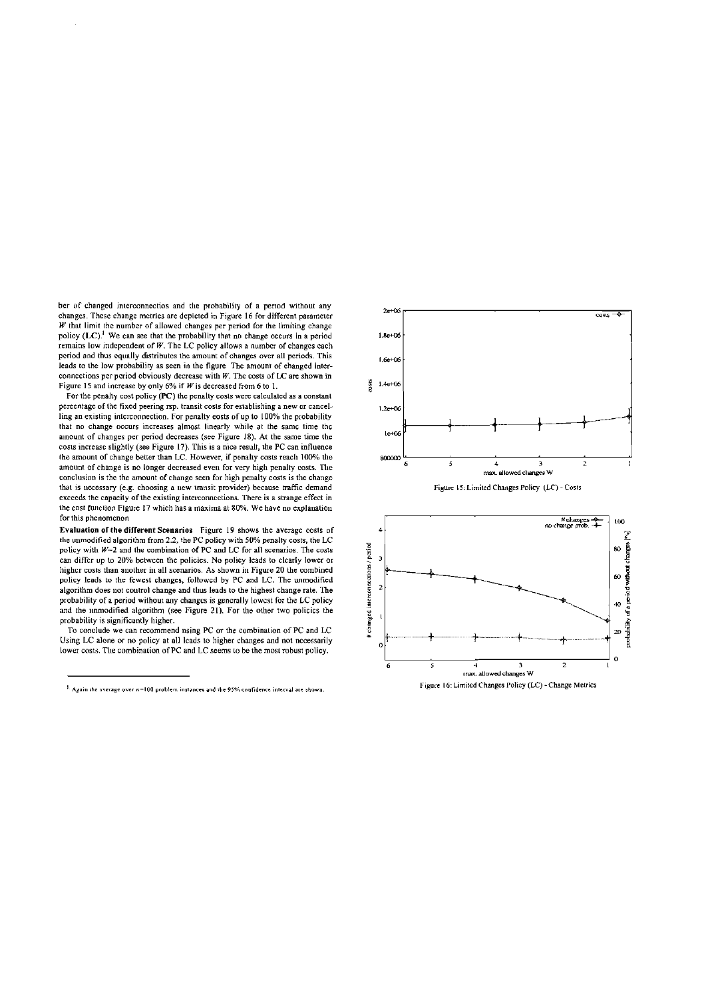ber of changed interconnectios and the probability of a period without any changes. These change metrics are depicted in Figure 16 for different parameter  $W$  that limit the number of allowed changes per period for the limiting change policy  $(LC)$ .<sup>1</sup> We can see that the probability that no change occurs in a period remains low independent of  $W$ . The LC policy allows a number of changes each period and thus equally distributes the amount of changes over all periods. This leads to the low probability as seen in the figure The amount of ehanged interconnections per period obviously decrease with  $W$ . The costs of LC are shown in Figure 15 and increase by only 6% if  $W$  is decreased from 6 to 1.

For the penalty cost policy (PC) the penalty costs were calculated as a constant percentage of the fixed peering rsp. transit costs for establishing a new or cancelling an existing interconnection. For penalty eosts of up to 100% the probability that no change occurs increases almost linearly while at the same time the ainount of changes per period decreases (see Figure 18). At the same time the costs increase slightly (see Figure 17). This is a nice result, the PC can influence the amount of change better than LC. However, if penalty costs reach 100% the amount of change is no longer decreased even for very high penalty costs. The conclusion is the the amount of change seen for high penalty costs is the change that is necessary (e.g. choosing a new transit provider) because traffic demand exceeds the capacity of the existing interconnections. There is a strange effect in the cost function Figure 17 which has a maxima at 80%. We have no explanation for this phenomenon

Evaluation of the different Scenarios Figure 19 shows the average costs of the unmodified algorithm from 2.2, the PC policy with 50% penalty costs, the LC policy with  $W=2$  and the combination of PC and LC for all scenarios. The costs can differ up to 20% between the policies. No policy leads to clearly lower or higher costs than another in all scenarios. As shown in Figure 20 the combined policy leads to the fewest changes, followed by PC and LC. The unmodified algorithm does not control change and thus leads to the highest change rate. The probability of a period without any changes is generally lowest for the LC policy and the nnmodified algorithm (see Figure 21). For the other two policies the probability is significantly higher.

To conclude we can recommend using PC or the combination of PC and LC Using LC alone or no policy at all leads to higher changes and not necessarily lower costs. The combination of PC and LC seems to be the most robust policy,

 $\frac{1}{2}$ . Again the average over  $n=100$  problem instances and the 95% confidence interval are shown.



Figure 16: Limited Changes Policy (LC) - Change Metrics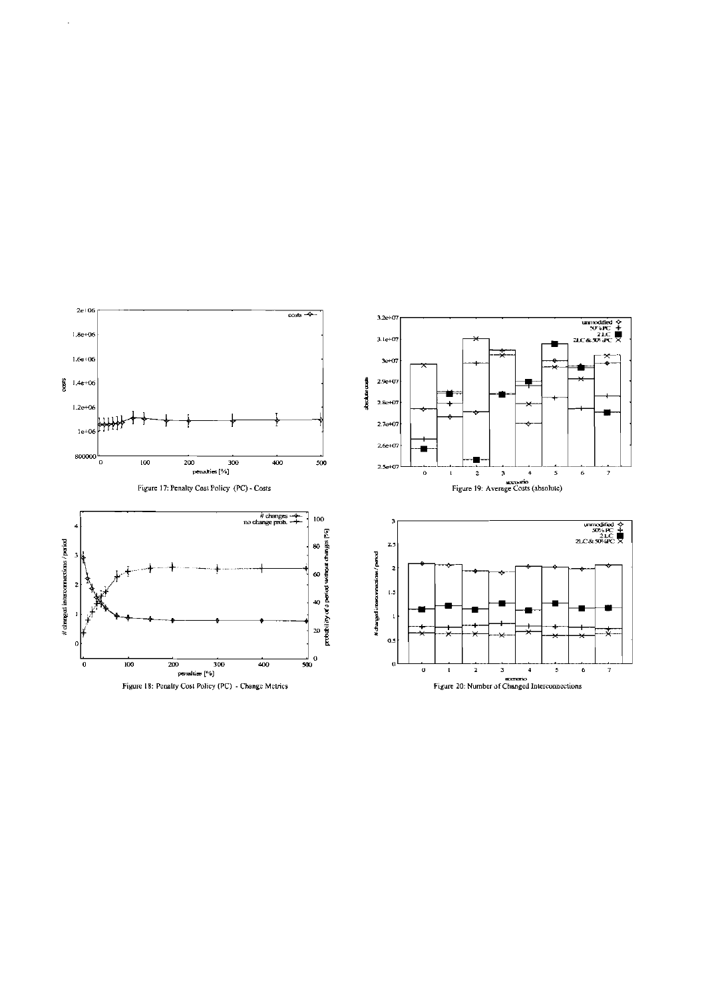

 $\ddot{\phantom{a}}$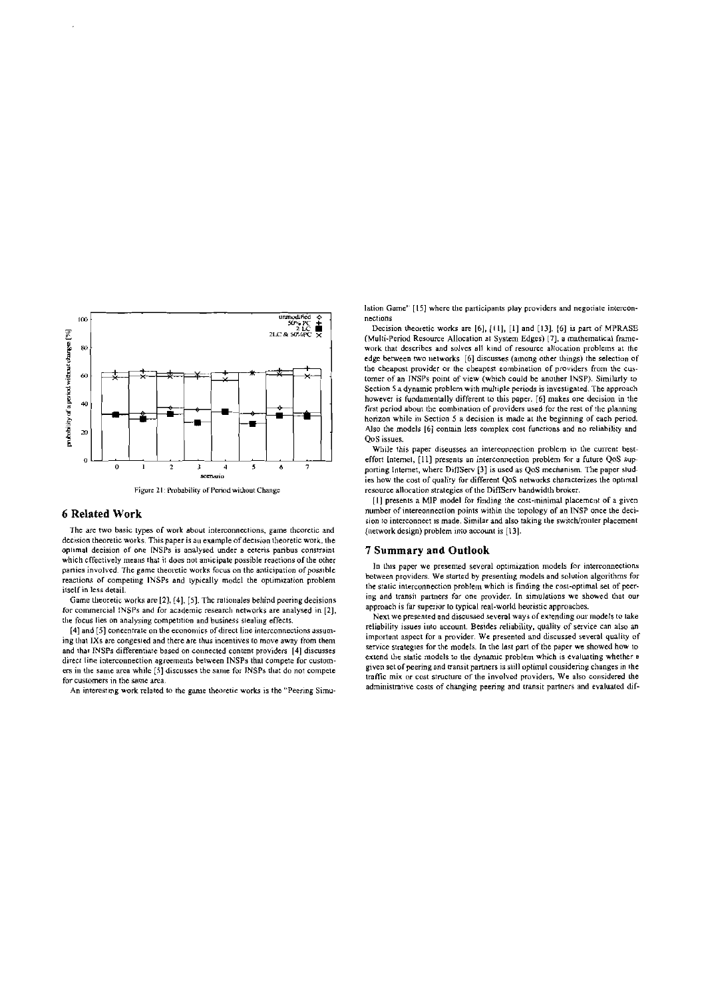

### **6 Related Work**

The are two basic types of work about interconnections, game theoretic and decision theoretic works. This paper is an example of decision theoretic work, the optimal decision of one INSPs is analysed under a ceteris paribus constraint which effectively means that it does not amicipate possible reactions of the other parties involved. The game theoretie works focus on the anticipation of possible reactions of competing INSPs and typically model the optimization problem itself in less detail.

Game theoretic works are [2], [4], [5]. The rationales behind peering decisions for commercial INSPs and for academic research networks are analysed in [2], the focus lies on analysing competition and business stealing effects.

[4] and [5] concentrate on the economics of direct line interconnections assuming that IXs are congested and there are thus incentives to move away from them and that INSPs differentiate based on connected content providers [4] discusses direct line interconnection agreements between INSPs that compete for customers in the same area while [5] discusses the same for INSPs that do not compete for customers in the same area

An interesting work related to the game theoretic works is the "Peering Simu-

lation Game" [15] where the participants play providers and negotiate interconnections

Decision theoretic works are [6], [11], [1] and [13]. [6] is part of MPRASE (Multi-Period Resource Allocation at System Edges) [7], a mathematical framework that describes and solves all kind of resource allocation problems at the edge between two networks [6] discusses (among other things) the selection of the cheapost provider or the cheapest combination of providers from the customer of an INSPs point of view (which could be another INSP). Similarly to Section 5 a dynamic problem with multiple periods is investigated. The approach however is fundamentally different to this paper. [6] makes one decision in the first period about the combination of providers used for the rest of the planning horizon while in Section 5 a decision is made at the beginning of each period. Also the models [6] contain less complex cost functions and no reliability and QoS issues.

While this paper diseusses an intereonnection problem in the current besteffort Internel, [11] presents an interconnection problem for a future QoS supporting Internet, where DiffServ [3] is used as QoS mechanism. The paper studies how the cost of quality for different QoS networks characterizes the optimal resource allocation strategies of the DiffServ bandwidth broker.

[1] presents a MIP model for finding the cost-minimal placement of a given number of intereonnection points within the topology of an INSP once the decision to interconnect is made. Similar and also taking the switch/ronter placement (network design) problem into account is [13].

# **7 Summary and Outlook**

In this paper we presented several optimization models for interconnections between providers. We started by presenting models and solution algorithms for the static interconnection problem which is finding the cost-optimal set of peering and transit partners for one provider. In simulations we showed that our approach is far superior to typical real-world heuristic approaches.

Next we presented and discussed several ways of extending our models to take reliability issues into account. Besides reliability, quality of service can also an important aspect for a provider. We presented and discussed several quality of service strategies for the models. In the last part of the paper we showed how to extend the static models to the dynamic problem which is evaluating whether a given set of peering and transit partners is still optimal considering changes in the traffic mix or cost structure of the involved providers, We also considered the administrative costs of changing peering and transit partners and evaluated dif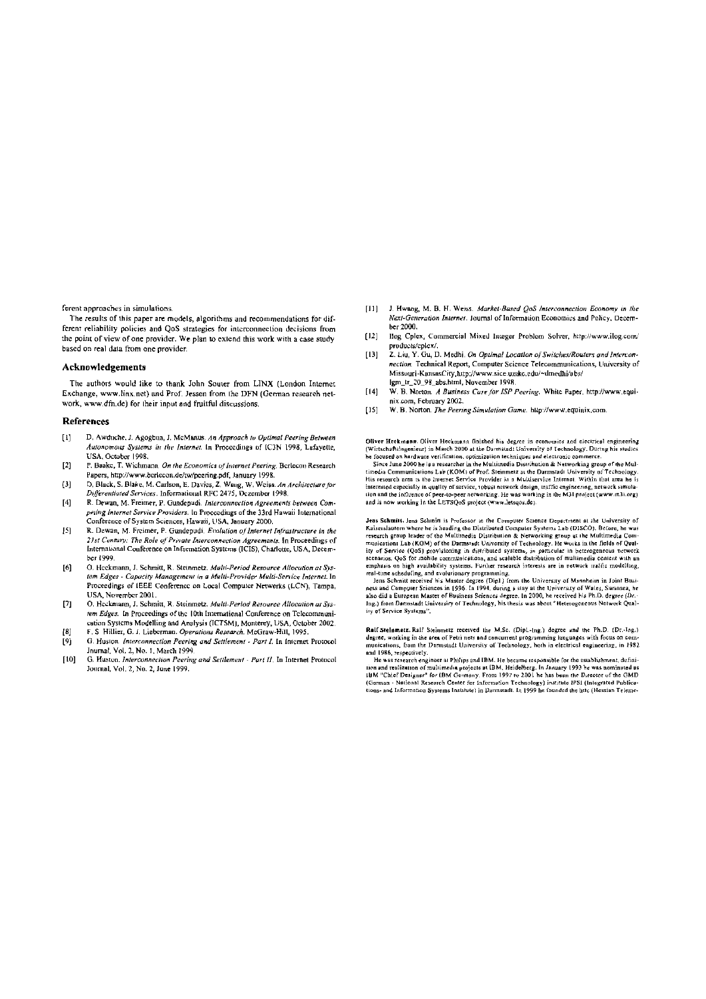ferent approaches in simulations.

The results of this paper are models, algorithms and recommendations for different reliability policies and QoS strategies for interconnection decisions from the point of view of one provider. We plan to extend this work with a case study based on real data from one provider.

### Acknowledgements

The authors would like to thank John Souter from LINX (London Internet Exchange, www.linx.net) and Prof. Jessen from the DFN (German research network, www.dfn.de) for their input and fruitful discussions.

#### **References**

- D. Awduche, J. Agogbua, J. McManus. An Approach to Optimal Peering Between  $\mathbf{H}$ Autonomous Systems in the Internet. In Proceedings of IC3N 1998, Lufayette USA, October 1998.
- $[2]$ P. Baake, T. Wichmann. On the Economics of Internet Peering, Berlecon Research Papers, http://www.berlecon.de/tw/pcering.pdf, January 1998.<br>D. Black, S. Blake, M. Carlson, E. Davies, Z. Waug, W. Weiss. An Architecture for
- $(3)$ Differentiated Services. Informational RFC 2475, Dezember 1998.
- R. Dewan, M. Freimer, P. Gundepudi. Interconnection Agreements between Com- $[4]$ peting Internet Service Providers. In Proccedings of the 33rd Hawaii International .<br>Conference of System Sciences, Hawaii, USA, January 2000.
- $[5] % \includegraphics[width=0.9\columnwidth]{figures/fig_10.pdf} \caption{The graph $\mathcal{S}_1$ is the number of times, and the number of times, and the number of times, respectively.} \label{fig:2}$ R. Dewan, M. Freimer, P. Gundepudi. Evalution of Internet Infrastructure in the 21st Century: The Role of Private Interconnection Agreements. In Proceedings of International Conference on Information Systems (ICIS), Charlotte, USA, December 1999.
- $[6]$ O. Heckmann, J. Schmitt, R. Steinmetz, Multi-Period Resource Allocation at System Edges - Capacity Management in a Multi-Provider Multi-Service Internet. In Proceedings of IEEE Conference on Local Computer Networks (LCN), Tampa, USA. November 2001.
- O. Heckmann, J. Schmitt, R. Steinmetz. Multi-Period Resource Allocation at Sys- $[T]$ tem Edges. In Proceedings of the 10th International Conference on Telecommunicution Systems Modelling and Analysis (ICTSM), Monterey, USA, October 2002.  $|B|$
- F. S. Hillier, G. J. Lieberman. Operations Research. McGraw-Hill, 1995. G. Huston. Interconnection Peering and Settlement - Part I. In Internet Protocol  $[9]$ Jnurnal, Vol. 2, No. 1, March 1999.
- $[10]$ G. Huston. Interconnection Peering and Settlement - Part II. In Internet Protocol Journal, Vol. 2, No. 2, June 1999.
- J. Hwang, M. B. H. Weiss. Market-Based OoS Interconnection Economy in the  $1111$ Next-Generation Internet. Journal of Information Economics and Policy. December 2000.
- Hog Cplex, Commercial Mixed Integer Problem Solver, http://www.ilog.com/  $[12]$ products/colex/.
- 2. Liu, Y. Gu, D. Medhi. On Optimal Location of Switches/Routers and Intercon- $[13]$ nection. Technical Report, Computer Science Telecommunications, University of Missouri-KansasCity, http://www.sice.umkc.edu/~dmedhi/abs/ lem tr 20.98 abs html. November 1998
- W. B. Norton. A Business Case for ISP Peering. White Paper, http://www.equi- $[14]$ nix.com, February 2002.
- W. B. Norton. The Peering Simulation Game. http://www.equinix.com  $[15]$

Oliver Heckmann. Oliver Heckmann finished his degree in economics and electrical engineering Outer accessible principle in the Darmatadt University of Technology. During his studies<br>be focused on hardware verification, optimization techniques and electronic commerce.<br>Since June 2000 he is a researcher in the Multi

timedia Communications Lab (KOM) of Prof. Steinmetz at the Darmstadt University of Technology.<br>His research area is the Internet Service Provider in a Multiservice Internet. Within that area he is<br>interseted especially in ition and the influence of peer-to-peer networking. He was working in the M31 project (www.m3i.org)<br>and is now working in the LETSQoS project (www.letsqos.de).

Jeas Schmitt. Jens Schinitt is Professor in the Computer Science Department at the University of Jean Schmitt Lens Schmitt St Protessor in the Lomputer Scheme Lepsrthent at the University of Raises<br>Islamith Warst Schmitter Distributed Couplier Systems Lab (DISCO). Before, he was<br>research group leader of the Multimedi

schenzos, QoS for monito communications, and scalable distribution of multimedial contact with an emphasis on high availability systems. Further research interests are in retwork traffic modelling, real-time scheduling, an ity of Service Systems".

Ralf Stelnmetz. Ralf Steinmetz received the M.Sc. (Dipl.-Ing.) degree and the Ph.D. (Dr.-Ing.)<br>degree, working in the area of Petri nets and concurrent programming languages with focus on communications, from the Darmstadt University of Technology, hoth in electrical engineering, in 1982

munications, from the Darmstadt University of Technology, both in electrical engineering, in 1982<br>and 1986, respectively.<br>He was research engineer at Philips and IBM. He became responsible for the establishment, defini-<br>li